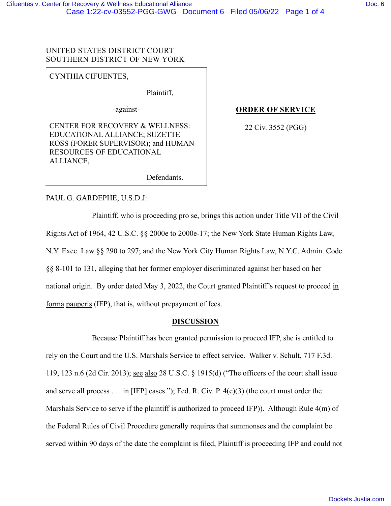# UNITED STATES DISTRICT COURT SOUTHERN DISTRICT OF NEW YORK

CYNTHIA CIFUENTES,

Plaintiff,

-against-

CENTER FOR RECOVERY & WELLNESS: EDUCATIONAL ALLIANCE; SUZETTE ROSS (FORER SUPERVISOR); and HUMAN RESOURCES OF EDUCATIONAL ALLIANCE,

# **ORDER OF SERVICE**

22 Civ. 3552 (PGG)

Defendants.

## PAUL G. GARDEPHE, U.S.D.J:

Plaintiff, who is proceeding pro se, brings this action under Title VII of the Civil Rights Act of 1964, 42 U.S.C. §§ 2000e to 2000e-17; the New York State Human Rights Law, N.Y. Exec. Law §§ 290 to 297; and the New York City Human Rights Law, N.Y.C. Admin. Code §§ 8-101 to 131, alleging that her former employer discriminated against her based on her national origin. By order dated May 3, 2022, the Court granted Plaintiff's request to proceed in forma pauperis (IFP), that is, without prepayment of fees.

## **DISCUSSION**

Because Plaintiff has been granted permission to proceed IFP, she is entitled to rely on the Court and the U.S. Marshals Service to effect service. Walker v. Schult, 717 F.3d. 119, 123 n.6 (2d Cir. 2013); see also 28 U.S.C. § 1915(d) ("The officers of the court shall issue and serve all process . . . in [IFP] cases."); Fed. R. Civ. P. 4(c)(3) (the court must order the Marshals Service to serve if the plaintiff is authorized to proceed IFP)). Although Rule 4(m) of the Federal Rules of Civil Procedure generally requires that summonses and the complaint be served within 90 days of the date the complaint is filed, Plaintiff is proceeding IFP and could not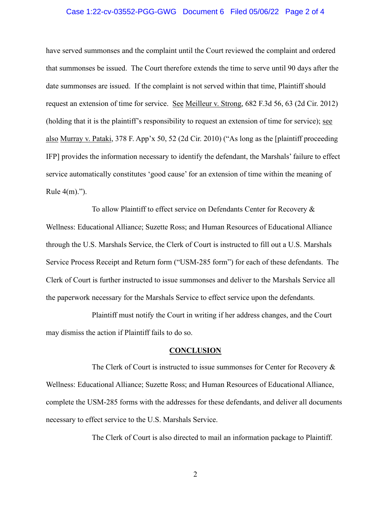### Case 1:22-cv-03552-PGG-GWG Document 6 Filed 05/06/22 Page 2 of 4

have served summonses and the complaint until the Court reviewed the complaint and ordered that summonses be issued. The Court therefore extends the time to serve until 90 days after the date summonses are issued. If the complaint is not served within that time, Plaintiff should request an extension of time for service. See Meilleur v. Strong, 682 F.3d 56, 63 (2d Cir. 2012) (holding that it is the plaintiff's responsibility to request an extension of time for service); see also Murray v. Pataki, 378 F. App'x 50, 52 (2d Cir. 2010) ("As long as the [plaintiff proceeding IFP] provides the information necessary to identify the defendant, the Marshals' failure to effect service automatically constitutes 'good cause' for an extension of time within the meaning of Rule 4(m).").

To allow Plaintiff to effect service on Defendants Center for Recovery & Wellness: Educational Alliance; Suzette Ross; and Human Resources of Educational Alliance through the U.S. Marshals Service, the Clerk of Court is instructed to fill out a U.S. Marshals Service Process Receipt and Return form ("USM-285 form") for each of these defendants. The Clerk of Court is further instructed to issue summonses and deliver to the Marshals Service all the paperwork necessary for the Marshals Service to effect service upon the defendants.

Plaintiff must notify the Court in writing if her address changes, and the Court may dismiss the action if Plaintiff fails to do so.

#### **CONCLUSION**

The Clerk of Court is instructed to issue summonses for Center for Recovery & Wellness: Educational Alliance; Suzette Ross; and Human Resources of Educational Alliance, complete the USM-285 forms with the addresses for these defendants, and deliver all documents necessary to effect service to the U.S. Marshals Service.

The Clerk of Court is also directed to mail an information package to Plaintiff.

2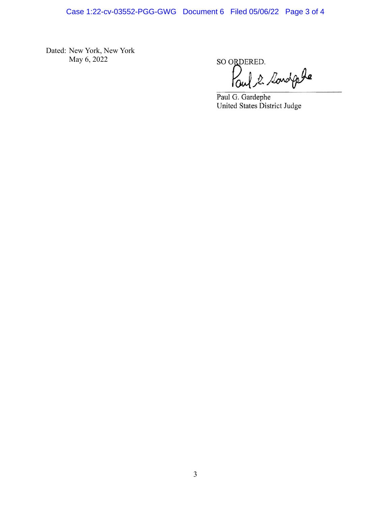Dated: New York, New York May 6, 2022

SO ORDERED.

Paul 2 Sondple

Paul G. Gardephe<br>United States District Judge